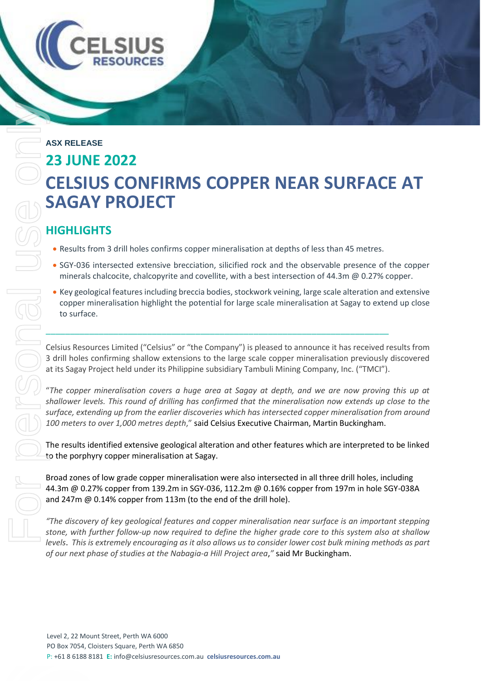# **ASX RELEASE 23 JUNE 2022 CELSIUS CONFIRMS COPPER NEAR SURFACE AT SAGAY PROJECT levels. This is extremely as allows as it also allows use to consider lower cost bulk mining methods as part**  $\approx$  **the results from 3 diffilible sconfirms copper minimalisation at depths of less than 45 methods encouraging**

# **HIGHLIGHTS**

**ELS** 

- Results from 3 drill holes confirms copper mineralisation at depths of less than 45 metres.
- SGY-036 intersected extensive brecciation, silicified rock and the observable presence of the copper minerals chalcocite, chalcopyrite and covellite, with a best intersection of 44.3m @ 0.27% copper.
- Key geological features including breccia bodies, stockwork veining, large scale alteration and extensive copper mineralisation highlight the potential for large scale mineralisation at Sagay to extend up close to surface.

Celsius Resources Limited ("Celsius" or "the Company") is pleased to announce it has received results from 3 drill holes confirming shallow extensions to the large scale copper mineralisation previously discovered at its Sagay Project held under its Philippine subsidiary Tambuli Mining Company, Inc. ("TMCI").

"*The copper mineralisation covers a huge area at Sagay at depth, and we are now proving this up at shallower levels. This round of drilling has confirmed that the mineralisation now extends up close to the surface, extending up from the earlier discoveries which has intersected copper mineralisation from around 100 meters to over 1,000 metres depth*," said Celsius Executive Chairman, Martin Buckingham.

The results identified extensive geological alteration and other features which are interpreted to be linked to the porphyry copper mineralisation at Sagay.

Broad zones of low grade copper mineralisation were also intersected in all three drill holes, including 44.3m @ 0.27% copper from 139.2m in SGY-036, 112.2m @ 0.16% copper from 197m in hole SGY-038A and 247m @ 0.14% copper from 113m (to the end of the drill hole).

*"The discovery of key geological features and copper mineralisation near surface is an important stepping stone, with further follow-up now required to define the higher grade core to this system also at shallow of our next phase of studies at the Nabagia-a Hill Project area*,*"* said Mr Buckingham.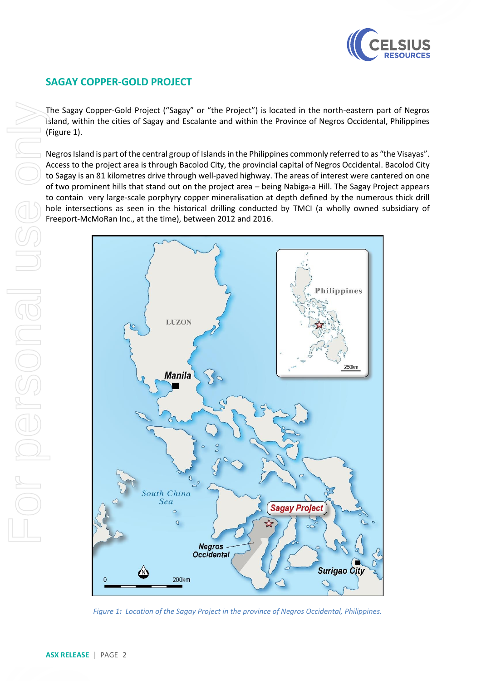

## **SAGAY COPPER-GOLD PROJECT**

The Sagay Copper-Gold Project ("Sagay" or "the Project") is located in the north-eastern part of Negros Island, within the cities of Sagay and Escalante and within the Province of Negros Occidental, Philippines (Figure 1).

Negros Island is part of the central group of Islands in the Philippines commonly referred to as "the Visayas". Access to the project area is through Bacolod City, the provincial capital of Negros Occidental. Bacolod City to Sagay is an 81 kilometres drive through well-paved highway. The areas of interest were cantered on one of two prominent hills that stand out on the project area – being Nabiga-a Hill. The Sagay Project appears to contain very large-scale porphyry copper mineralisation at depth defined by the numerous thick drill hole intersections as seen in the historical drilling conducted by TMCI (a wholly owned subsidiary of Freeport-McMoRan Inc., at the time), between 2012 and 2016.



*Figure 1: Location of the Sagay Project in the province of Negros Occidental, Philippines.*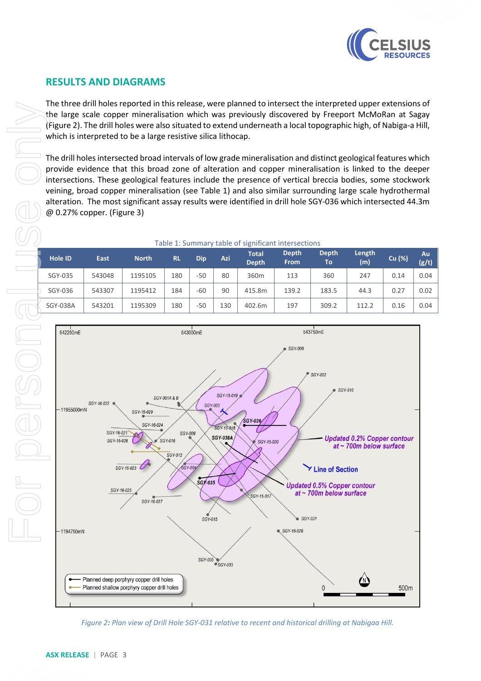

### **RESULTS AND DIAGRAMS**

The three drill holes reported in this release, were planned to intersect the interpreted upper extensions of the large scale copper mineralisation which was previously discovered by Freeport McMoRan at Sagay (Figure 2). The drill holes were also situated to extend underneath a local topographic high, of Nabiga-a Hill, which is interpreted to be a large resistive silica lithocap.

The drill holes intersected broad intervals of low grade mineralisation and distinct geological features which provide evidence that this broad zone of alteration and copper mineralisation is linked to the deeper intersections. These geological features include the presence of vertical breccia bodies, some stockwork veining, broad copper mineralisation (see Table 1) and also similar surrounding large scale hydrothermal alteration. The most significant assay results were identified in drill hole SGY-036 which intersected 44.3m @ 0.27% copper. (Figure 3)

| Table 1. Juliillal V table Of Significant intersections |             |              |           |            |     |                              |                             |                    |               |        |             |
|---------------------------------------------------------|-------------|--------------|-----------|------------|-----|------------------------------|-----------------------------|--------------------|---------------|--------|-------------|
| <b>Hole ID</b>                                          | <b>East</b> | <b>North</b> | <b>RL</b> | <b>Dip</b> | Azi | <b>Total</b><br><b>Depth</b> | <b>Depth</b><br><b>From</b> | <b>Depth</b><br>То | Length<br>(m) | Cu (%) | Au<br>(g/t) |
| SGY-035                                                 | 543048      | 1195105      | 180       | -50        | 80  | 360m                         | 113                         | 360                | 247           | 0.14   | 0.04        |
| SGY-036                                                 | 543307      | 1195412      | 184       | -60        | 90  | 415.8m                       | 139.2                       | 183.5              | 44.3          | 0.27   | 0.02        |
| SGY-038A                                                | 543201      | 1195309      | 180       | -50        | 130 | 402.6m                       | 197                         | 309.2              | 112.2         | 0.16   | 0.04        |

Table 1: Summary table of significant intersections



*Figure 2: Plan view of Drill Hole SGY-031 relative to recent and historical drilling at Nabigaa Hill.*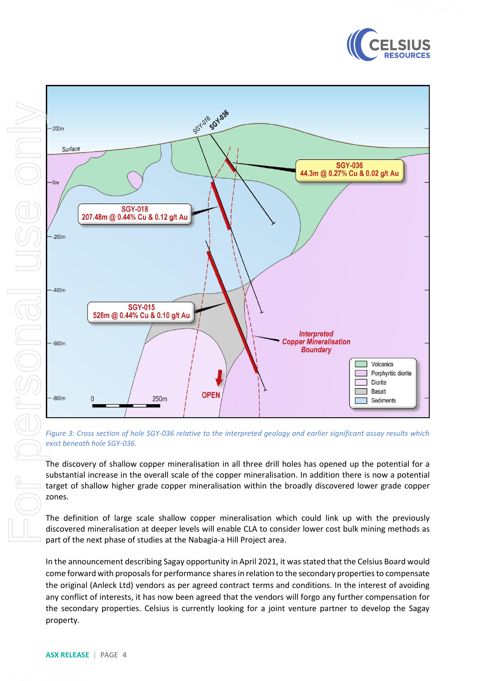





*Figure 3: Cross section of hole SGY-036 relative to the interpreted geology and earlier significant assay results which exist beneath hole SGY-036.*

The discovery of shallow copper mineralisation in all three drill holes has opened up the potential for a substantial increase in the overall scale of the copper mineralisation. In addition there is now a potential target of shallow higher grade copper mineralisation within the broadly discovered lower grade copper

The definition of large scale shallow copper mineralisation which could link up with the previously discovered mineralisation at deeper levels will enable CLA to consider lower cost bulk mining methods as part of the next phase of studies at the Nabagia-a Hill Project area.

In the announcement describing Sagay opportunity in April 2021, it was stated that the Celsius Board would come forward with proposals for performance shares in relation to the secondary properties to compensate the original (Anleck Ltd) vendors as per agreed contract terms and conditions. In the interest of avoiding any conflict of interests, it has now been agreed that the vendors will forgo any further compensation for the secondary properties. Celsius is currently looking for a joint venture partner to develop the Sagay property.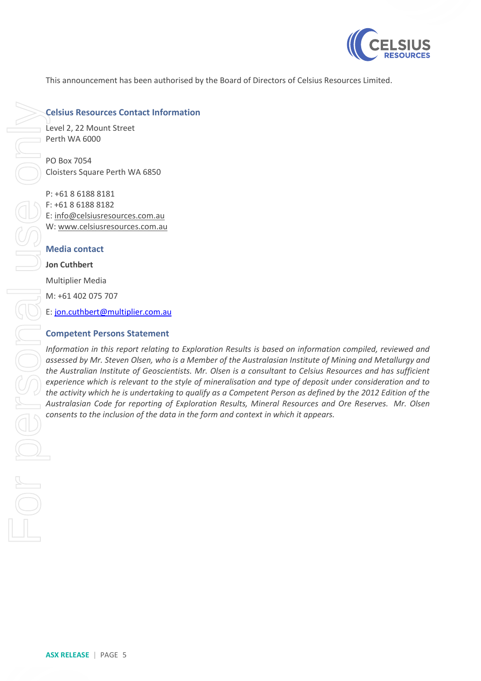

This announcement has been authorised by the Board of Directors of Celsius Resources Limited.

#### **Celsius Resources Contact Information**

Level 2, 22 Mount Street Perth WA 6000

PO Box 7054 Cloisters Square Perth WA 6850

P: +61 8 6188 8181 F: +61 8 6188 8182 E: [info@celsiusresources.com.au](mailto:info@celsiusresources.com.au) W: [www.celsiusresources.com.au](http://www.celsiusresources.com.au/)

#### **Media contact**

#### **Jon Cuthbert**

M: +61 402 075 707

E: [jon.cuthbert@multiplier.com.au](mailto:jon.cuthbert@multiplier.com.au)

#### **Competent Persons Statement**

*Information in this report relating to Exploration Results is based on information compiled, reviewed and assessed by Mr. Steven Olsen, who is a Member of the Australasian Institute of Mining and Metallurgy and the Australian Institute of Geoscientists. Mr. Olsen is a consultant to Celsius Resources and has sufficient experience which is relevant to the style of mineralisation and type of deposit under consideration and to the activity which he is undertaking to qualify as a Competent Person as defined by the 2012 Edition of the Australasian Code for reporting of Exploration Results, Mineral Resources and Ore Reserves. Mr. Olsen*  **conserts inclusion of the inclusion of the data in the form and context in which it appears.**<br>
For the data is appear to the inclusion of the inclusion of the inclusion of the data inclusion of the inclusion of the data i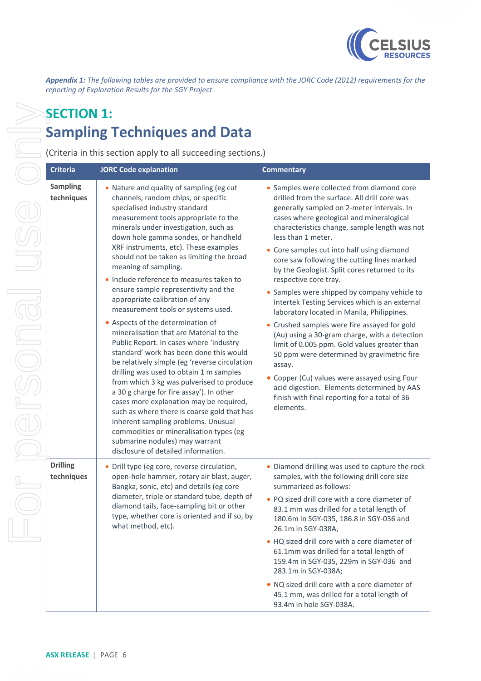

*Appendix 1: The following tables are provided to ensure compliance with the JORC Code (2012) requirements for the reporting of Exploration Results for the SGY Project*

# **SECTION 1: Sampling Techniques and Data**

(Criteria in this section apply to all succeeding sections.)

| <b>Criteria</b>               | <b>JORC Code explanation</b>                                                                                                                                                                                                                                                                                                                                                                                                                                                                                                                                                                                                                                                                                                                                                                                                                                                                                                                                                                                                                                                                                                     | <b>Commentary</b>                                                                                                                                                                                                                                                                                                                                                                                                                                                                                                                                                                                                                                                                                                                                                                                                                                                                                                                                       |
|-------------------------------|----------------------------------------------------------------------------------------------------------------------------------------------------------------------------------------------------------------------------------------------------------------------------------------------------------------------------------------------------------------------------------------------------------------------------------------------------------------------------------------------------------------------------------------------------------------------------------------------------------------------------------------------------------------------------------------------------------------------------------------------------------------------------------------------------------------------------------------------------------------------------------------------------------------------------------------------------------------------------------------------------------------------------------------------------------------------------------------------------------------------------------|---------------------------------------------------------------------------------------------------------------------------------------------------------------------------------------------------------------------------------------------------------------------------------------------------------------------------------------------------------------------------------------------------------------------------------------------------------------------------------------------------------------------------------------------------------------------------------------------------------------------------------------------------------------------------------------------------------------------------------------------------------------------------------------------------------------------------------------------------------------------------------------------------------------------------------------------------------|
| <b>Sampling</b><br>techniques | . Nature and quality of sampling (eg cut<br>channels, random chips, or specific<br>specialised industry standard<br>measurement tools appropriate to the<br>minerals under investigation, such as<br>down hole gamma sondes, or handheld<br>XRF instruments, etc). These examples<br>should not be taken as limiting the broad<br>meaning of sampling.<br>• Include reference to measures taken to<br>ensure sample representivity and the<br>appropriate calibration of any<br>measurement tools or systems used.<br>Aspects of the determination of<br>mineralisation that are Material to the<br>Public Report. In cases where 'industry<br>standard' work has been done this would<br>be relatively simple (eg 'reverse circulation<br>drilling was used to obtain 1 m samples<br>from which 3 kg was pulverised to produce<br>a 30 g charge for fire assay'). In other<br>cases more explanation may be required,<br>such as where there is coarse gold that has<br>inherent sampling problems. Unusual<br>commodities or mineralisation types (eg<br>submarine nodules) may warrant<br>disclosure of detailed information. | • Samples were collected from diamond core<br>drilled from the surface. All drill core was<br>generally sampled on 2-meter intervals. In<br>cases where geological and mineralogical<br>characteristics change, sample length was not<br>less than 1 meter.<br>• Core samples cut into half using diamond<br>core saw following the cutting lines marked<br>by the Geologist. Split cores returned to its<br>respective core tray.<br>• Samples were shipped by company vehicle to<br>Intertek Testing Services which is an external<br>laboratory located in Manila, Philippines.<br>• Crushed samples were fire assayed for gold<br>(Au) using a 30-gram charge, with a detection<br>limit of 0.005 ppm. Gold values greater than<br>50 ppm were determined by gravimetric fire<br>assay.<br>• Copper (Cu) values were assayed using Four<br>acid digestion. Elements determined by AAS<br>finish with final reporting for a total of 36<br>elements. |
| <b>Drilling</b><br>techniques | Drill type (eg core, reverse circulation,<br>open-hole hammer, rotary air blast, auger,<br>Bangka, sonic, etc) and details (eg core<br>diameter, triple or standard tube, depth of<br>diamond tails, face-sampling bit or other<br>type, whether core is oriented and if so, by<br>what method, etc).                                                                                                                                                                                                                                                                                                                                                                                                                                                                                                                                                                                                                                                                                                                                                                                                                            | • Diamond drilling was used to capture the rock<br>samples, with the following drill core size<br>summarized as follows:<br>• PQ sized drill core with a core diameter of<br>83.1 mm was drilled for a total length of<br>180.6m in SGY-035, 186.8 in SGY-036 and<br>26.1m in SGY-038A,<br>• HQ sized drill core with a core diameter of<br>61.1mm was drilled for a total length of<br>159.4m in SGY-035, 229m in SGY-036 and<br>283.1m in SGY-038A;<br>• NQ sized drill core with a core diameter of<br>45.1 mm, was drilled for a total length of<br>93.4m in hole SGY-038A.                                                                                                                                                                                                                                                                                                                                                                         |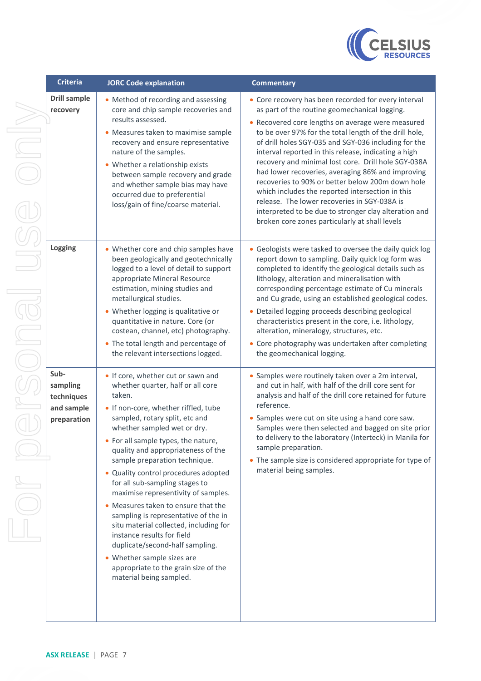

| <b>Criteria</b>                                             |                                                                                                                                                                                                                                                                                                                                                                                                                                                                                                                                                                                                                                                                                                                      |                                                                                                                                                                                                                                                                                                                                                                                                                                                                                                                                                                                                                                                                                                                                          |
|-------------------------------------------------------------|----------------------------------------------------------------------------------------------------------------------------------------------------------------------------------------------------------------------------------------------------------------------------------------------------------------------------------------------------------------------------------------------------------------------------------------------------------------------------------------------------------------------------------------------------------------------------------------------------------------------------------------------------------------------------------------------------------------------|------------------------------------------------------------------------------------------------------------------------------------------------------------------------------------------------------------------------------------------------------------------------------------------------------------------------------------------------------------------------------------------------------------------------------------------------------------------------------------------------------------------------------------------------------------------------------------------------------------------------------------------------------------------------------------------------------------------------------------------|
| <b>Drill sample</b><br>recovery                             | <b>JORC Code explanation</b><br>• Method of recording and assessing<br>core and chip sample recoveries and<br>results assessed.<br>• Measures taken to maximise sample<br>recovery and ensure representative<br>nature of the samples.<br>• Whether a relationship exists<br>between sample recovery and grade<br>and whether sample bias may have<br>occurred due to preferential<br>loss/gain of fine/coarse material.                                                                                                                                                                                                                                                                                             | <b>Commentary</b><br>• Core recovery has been recorded for every interval<br>as part of the routine geomechanical logging.<br>• Recovered core lengths on average were measured<br>to be over 97% for the total length of the drill hole,<br>of drill holes SGY-035 and SGY-036 including for the<br>interval reported in this release, indicating a high<br>recovery and minimal lost core. Drill hole SGY-038A<br>had lower recoveries, averaging 86% and improving<br>recoveries to 90% or better below 200m down hole<br>which includes the reported intersection in this<br>release. The lower recoveries in SGY-038A is<br>interpreted to be due to stronger clay alteration and<br>broken core zones particularly at shall levels |
| Logging                                                     | • Whether core and chip samples have<br>been geologically and geotechnically<br>logged to a level of detail to support<br>appropriate Mineral Resource<br>estimation, mining studies and<br>metallurgical studies.<br>• Whether logging is qualitative or<br>quantitative in nature. Core (or<br>costean, channel, etc) photography.<br>• The total length and percentage of<br>the relevant intersections logged.                                                                                                                                                                                                                                                                                                   | • Geologists were tasked to oversee the daily quick log<br>report down to sampling. Daily quick log form was<br>completed to identify the geological details such as<br>lithology, alteration and mineralisation with<br>corresponding percentage estimate of Cu minerals<br>and Cu grade, using an established geological codes.<br>• Detailed logging proceeds describing geological<br>characteristics present in the core, i.e. lithology,<br>alteration, mineralogy, structures, etc.<br>• Core photography was undertaken after completing<br>the geomechanical logging.                                                                                                                                                           |
| Sub-<br>sampling<br>techniques<br>and sample<br>preparation | . If core, whether cut or sawn and<br>whether quarter, half or all core<br>taken.<br>. If non-core, whether riffled, tube<br>sampled, rotary split, etc and<br>whether sampled wet or dry.<br>• For all sample types, the nature,<br>quality and appropriateness of the<br>sample preparation technique.<br>· Quality control procedures adopted<br>for all sub-sampling stages to<br>maximise representivity of samples.<br>• Measures taken to ensure that the<br>sampling is representative of the in<br>situ material collected, including for<br>instance results for field<br>duplicate/second-half sampling.<br>• Whether sample sizes are<br>appropriate to the grain size of the<br>material being sampled. | · Samples were routinely taken over a 2m interval,<br>and cut in half, with half of the drill core sent for<br>analysis and half of the drill core retained for future<br>reference.<br>• Samples were cut on site using a hand core saw.<br>Samples were then selected and bagged on site prior<br>to delivery to the laboratory (Interteck) in Manila for<br>sample preparation.<br>• The sample size is considered appropriate for type of<br>material being samples.                                                                                                                                                                                                                                                                 |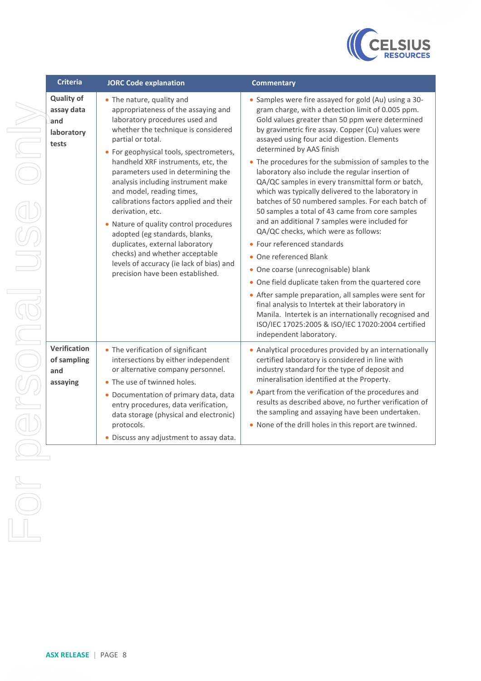

| <b>Criteria</b>                                               | <b>JORC Code explanation</b>                                                                                                                                                                                                                                                                                                                                                                                                                                                                                                                                                                                                                          |
|---------------------------------------------------------------|-------------------------------------------------------------------------------------------------------------------------------------------------------------------------------------------------------------------------------------------------------------------------------------------------------------------------------------------------------------------------------------------------------------------------------------------------------------------------------------------------------------------------------------------------------------------------------------------------------------------------------------------------------|
| <b>Quality of</b><br>assay data<br>and<br>laboratory<br>tests | • The nature, quality and<br>appropriateness of the assaying and<br>laboratory procedures used and<br>whether the technique is considered<br>partial or total.<br>• For geophysical tools, spectrometers,<br>handheld XRF instruments, etc, the<br>parameters used in determining the<br>analysis including instrument make<br>and model, reading times,<br>calibrations factors applied and their<br>derivation, etc.<br>Nature of quality control procedures<br>adopted (eg standards, blanks,<br>duplicates, external laboratory<br>checks) and whether acceptable<br>levels of accuracy (ie lack of bias) and<br>precision have been established. |
| <b>Verification</b><br>of sampling<br>and<br>assaying         | • The verification of significant<br>intersections by either independent<br>or alternative company personnel.<br>The use of twinned holes.<br>• Documentation of primary data, data<br>entry procedures, data verification,<br>data storage (physical and electronic)<br>protocols.<br>• Discuss any adjustment to assay data.                                                                                                                                                                                                                                                                                                                        |
|                                                               |                                                                                                                                                                                                                                                                                                                                                                                                                                                                                                                                                                                                                                                       |

#### **Commentary Commentary**

| lity and                 | • Samples were fire assayed for gold (Au) using a 30-                                             |
|--------------------------|---------------------------------------------------------------------------------------------------|
| of the assaying and      | gram charge, with a detection limit of 0.005 ppm.                                                 |
| edures used and          | Gold values greater than 50 ppm were determined                                                   |
| hnique is considered     | by gravimetric fire assay. Copper (Cu) values were<br>assayed using four acid digestion. Elements |
| tools, spectrometers,    | determined by AAS finish                                                                          |
| struments, etc, the      | The procedures for the submission of samples to the                                               |
| d in determining the     | laboratory also include the regular insertion of                                                  |
| g instrument make        | QA/QC samples in every transmittal form or batch,                                                 |
| ling times,              | which was typically delivered to the laboratory in                                                |
| ors applied and their    | batches of 50 numbered samples. For each batch of                                                 |
|                          | 50 samples a total of 43 came from core samples                                                   |
| y control procedures     | and an additional 7 samples were included for                                                     |
| ndards, blanks,          | QA/QC checks, which were as follows:                                                              |
| rnal laboratory          | • Four referenced standards                                                                       |
| ether acceptable         | • One referenced Blank                                                                            |
| ty (ie lack of bias) and |                                                                                                   |

- One coarse (unrecognisable) blank
- One field duplicate taken from the quartered core

| • After sample preparation, all samples were sent for<br>final analysis to Intertek at their laboratory in<br>Manila. Intertek is an internationally recognised and<br>ISO/IEC 17025:2005 & ISO/IEC 17020:2004 certified |
|--------------------------------------------------------------------------------------------------------------------------------------------------------------------------------------------------------------------------|
| independent laboratory.                                                                                                                                                                                                  |
| • Analytical procedures provided by an internationally                                                                                                                                                                   |

- of significant either independent ompany personnel. of primary data, data Analytical procedures provided by an internationally certified laboratory is considered in line with industry standard for the type of deposit and mineralisation identified at the Property. • Apart from the verification of the procedures and
	- results as described above, no further verification of the sampling and assaying have been undertaken.
		- None of the drill holes in this report are twinned.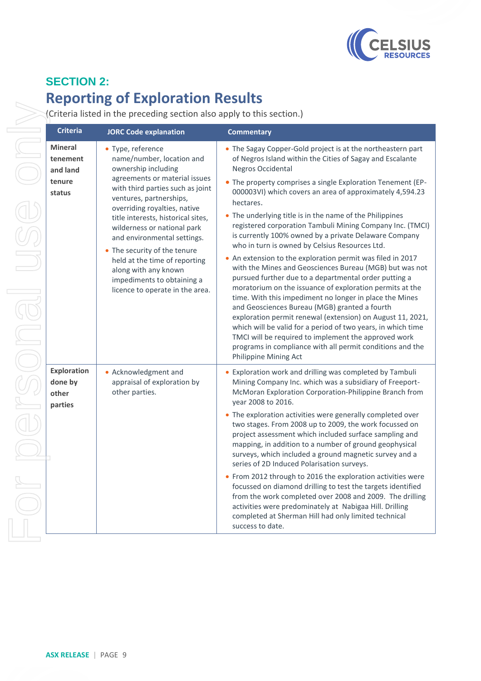

# **SECTION 2: Reporting of Exploration Results**

(Criteria listed in the preceding section also apply to this section.)

| Criteria                                          | <b>JORC Code explanation</b>                                                                                                                                                                                                                                                                                                                                                               | <b>Commentary</b>                                                                                                                                                                                                                                                                                                                                                                                                                                                                                                                                                                                                                                                                                                                                                                                                                                                                                                                                                                                              |
|---------------------------------------------------|--------------------------------------------------------------------------------------------------------------------------------------------------------------------------------------------------------------------------------------------------------------------------------------------------------------------------------------------------------------------------------------------|----------------------------------------------------------------------------------------------------------------------------------------------------------------------------------------------------------------------------------------------------------------------------------------------------------------------------------------------------------------------------------------------------------------------------------------------------------------------------------------------------------------------------------------------------------------------------------------------------------------------------------------------------------------------------------------------------------------------------------------------------------------------------------------------------------------------------------------------------------------------------------------------------------------------------------------------------------------------------------------------------------------|
| <b>Mineral</b><br>tenement<br>and land            | • Type, reference<br>name/number, location and<br>ownership including                                                                                                                                                                                                                                                                                                                      | • The Sagay Copper-Gold project is at the northeastern part<br>of Negros Island within the Cities of Sagay and Escalante<br><b>Negros Occidental</b>                                                                                                                                                                                                                                                                                                                                                                                                                                                                                                                                                                                                                                                                                                                                                                                                                                                           |
| tenure<br>status                                  | agreements or material issues<br>with third parties such as joint<br>ventures, partnerships,<br>overriding royalties, native<br>title interests, historical sites,<br>wilderness or national park<br>and environmental settings.<br>• The security of the tenure<br>held at the time of reporting<br>along with any known<br>impediments to obtaining a<br>licence to operate in the area. | • The property comprises a single Exploration Tenement (EP-<br>000003VI) which covers an area of approximately 4,594.23<br>hectares.<br>• The underlying title is in the name of the Philippines<br>registered corporation Tambuli Mining Company Inc. (TMCI)<br>is currently 100% owned by a private Delaware Company<br>who in turn is owned by Celsius Resources Ltd.<br>. An extension to the exploration permit was filed in 2017<br>with the Mines and Geosciences Bureau (MGB) but was not<br>pursued further due to a departmental order putting a<br>moratorium on the issuance of exploration permits at the<br>time. With this impediment no longer in place the Mines<br>and Geosciences Bureau (MGB) granted a fourth<br>exploration permit renewal (extension) on August 11, 2021,<br>which will be valid for a period of two years, in which time<br>TMCI will be required to implement the approved work<br>programs in compliance with all permit conditions and the<br>Philippine Mining Act |
| <b>Exploration</b><br>done by<br>other<br>parties | • Acknowledgment and<br>appraisal of exploration by<br>other parties.                                                                                                                                                                                                                                                                                                                      | • Exploration work and drilling was completed by Tambuli<br>Mining Company Inc. which was a subsidiary of Freeport-<br>McMoran Exploration Corporation-Philippine Branch from<br>year 2008 to 2016.<br>• The exploration activities were generally completed over<br>two stages. From 2008 up to 2009, the work focussed on<br>project assessment which included surface sampling and<br>mapping, in addition to a number of ground geophysical<br>surveys, which included a ground magnetic survey and a<br>series of 2D Induced Polarisation surveys.<br>• From 2012 through to 2016 the exploration activities were<br>focussed on diamond drilling to test the targets identified<br>from the work completed over 2008 and 2009. The drilling<br>activities were predominately at Nabigaa Hill. Drilling<br>completed at Sherman Hill had only limited technical<br>success to date.                                                                                                                       |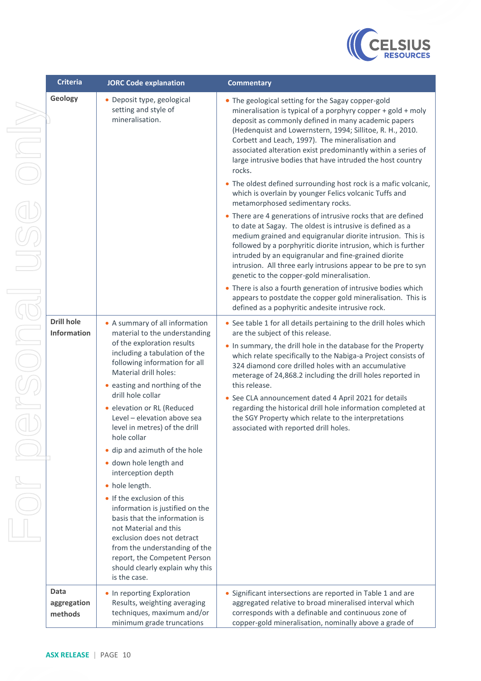

|   | <b>Criteria</b>                         | <b>JORC Code explanation</b>                                                                                                                                                                                                                                                                                                                                                                                                                                                                                                                                                                                                                                                                                                                | <b>Commentary</b>                                                                                                                                                                                                                                                                                                                                                                                                                                                                                                                                                                                                                                                                                                                                                                                                                                                                                                                                                                                                                                                                                                                                                                                                           |
|---|-----------------------------------------|---------------------------------------------------------------------------------------------------------------------------------------------------------------------------------------------------------------------------------------------------------------------------------------------------------------------------------------------------------------------------------------------------------------------------------------------------------------------------------------------------------------------------------------------------------------------------------------------------------------------------------------------------------------------------------------------------------------------------------------------|-----------------------------------------------------------------------------------------------------------------------------------------------------------------------------------------------------------------------------------------------------------------------------------------------------------------------------------------------------------------------------------------------------------------------------------------------------------------------------------------------------------------------------------------------------------------------------------------------------------------------------------------------------------------------------------------------------------------------------------------------------------------------------------------------------------------------------------------------------------------------------------------------------------------------------------------------------------------------------------------------------------------------------------------------------------------------------------------------------------------------------------------------------------------------------------------------------------------------------|
| J | Geology                                 | • Deposit type, geological<br>setting and style of<br>mineralisation.                                                                                                                                                                                                                                                                                                                                                                                                                                                                                                                                                                                                                                                                       | • The geological setting for the Sagay copper-gold<br>mineralisation is typical of a porphyry copper + gold + moly<br>deposit as commonly defined in many academic papers<br>(Hedenquist and Lowernstern, 1994; Sillitoe, R. H., 2010.<br>Corbett and Leach, 1997). The mineralisation and<br>associated alteration exist predominantly within a series of<br>large intrusive bodies that have intruded the host country<br>rocks.<br>• The oldest defined surrounding host rock is a mafic volcanic,<br>which is overlain by younger Felics volcanic Tuffs and<br>metamorphosed sedimentary rocks.<br>• There are 4 generations of intrusive rocks that are defined<br>to date at Sagay. The oldest is intrusive is defined as a<br>medium grained and equigranular diorite intrusion. This is<br>followed by a porphyritic diorite intrusion, which is further<br>intruded by an equigranular and fine-grained diorite<br>intrusion. All three early intrusions appear to be pre to syn<br>genetic to the copper-gold mineralisation.<br>• There is also a fourth generation of intrusive bodies which<br>appears to postdate the copper gold mineralisation. This is<br>defined as a pophyritic andesite intrusive rock. |
|   | <b>Drill hole</b><br><b>Information</b> | • A summary of all information<br>material to the understanding<br>of the exploration results<br>including a tabulation of the<br>following information for all<br>Material drill holes:<br>• easting and northing of the<br>drill hole collar<br>· elevation or RL (Reduced<br>Level - elevation above sea<br>level in metres) of the drill<br>hole collar<br>· dip and azimuth of the hole<br>· down hole length and<br>interception depth<br>• hole length.<br>• If the exclusion of this<br>information is justified on the<br>basis that the information is<br>not Material and this<br>exclusion does not detract<br>from the understanding of the<br>report, the Competent Person<br>should clearly explain why this<br>is the case. | • See table 1 for all details pertaining to the drill holes which<br>are the subject of this release.<br>. In summary, the drill hole in the database for the Property<br>which relate specifically to the Nabiga-a Project consists of<br>324 diamond core drilled holes with an accumulative<br>meterage of 24,868.2 including the drill holes reported in<br>this release.<br>• See CLA announcement dated 4 April 2021 for details<br>regarding the historical drill hole information completed at<br>the SGY Property which relate to the interpretations<br>associated with reported drill holes.                                                                                                                                                                                                                                                                                                                                                                                                                                                                                                                                                                                                                     |
|   | Data<br>aggregation<br>methods          | • In reporting Exploration<br>Results, weighting averaging<br>techniques, maximum and/or<br>minimum grade truncations                                                                                                                                                                                                                                                                                                                                                                                                                                                                                                                                                                                                                       | Significant intersections are reported in Table 1 and are<br>aggregated relative to broad mineralised interval which<br>corresponds with a definable and continuous zone of<br>copper-gold mineralisation, nominally above a grade of                                                                                                                                                                                                                                                                                                                                                                                                                                                                                                                                                                                                                                                                                                                                                                                                                                                                                                                                                                                       |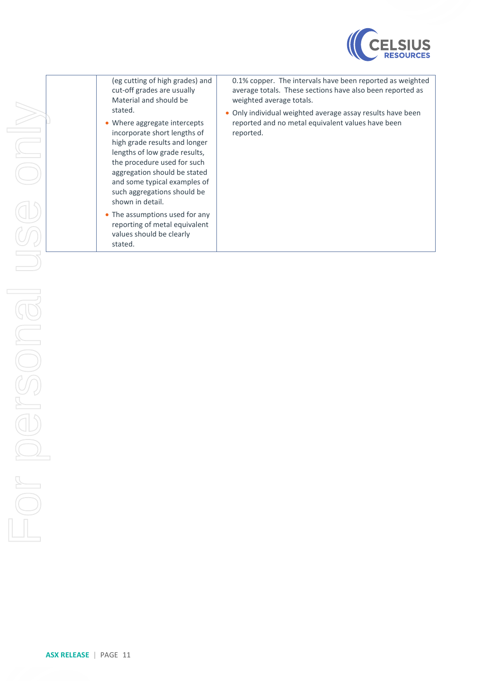

| (eg cutting of high grades) and<br>cut-off grades are usually<br>Material and should be<br>stated.<br>• Where aggregate intercepts<br>incorporate short lengths of<br>high grade results and longer<br>lengths of low grade results,<br>the procedure used for such<br>aggregation should be stated | 0.1% copper. The intervals have been reported as weighted<br>average totals. These sections have also been reported as<br>weighted average totals.<br>Only individual weighted average assay results have been<br>$\bullet$<br>reported and no metal equivalent values have been<br>reported. |
|-----------------------------------------------------------------------------------------------------------------------------------------------------------------------------------------------------------------------------------------------------------------------------------------------------|-----------------------------------------------------------------------------------------------------------------------------------------------------------------------------------------------------------------------------------------------------------------------------------------------|
| and some typical examples of<br>such aggregations should be<br>shown in detail.<br>• The assumptions used for any<br>reporting of metal equivalent<br>values should be clearly                                                                                                                      |                                                                                                                                                                                                                                                                                               |
| stated.                                                                                                                                                                                                                                                                                             |                                                                                                                                                                                                                                                                                               |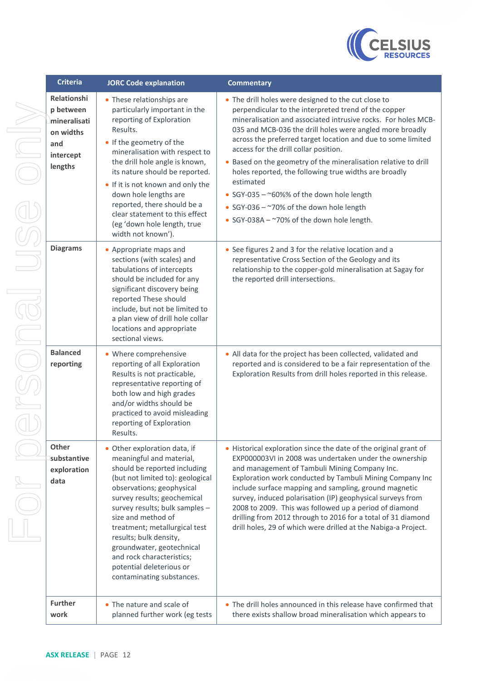

| <b>Criteria</b>                                                                             | <b>JORC Code explanation</b>                                                                                                                                                                                                                                                                                                                                                                                                   | <b>Commentary</b>                                                                                                                                                                                                                                                                                                                                                                                                                                                                                                                                                                                                                 |
|---------------------------------------------------------------------------------------------|--------------------------------------------------------------------------------------------------------------------------------------------------------------------------------------------------------------------------------------------------------------------------------------------------------------------------------------------------------------------------------------------------------------------------------|-----------------------------------------------------------------------------------------------------------------------------------------------------------------------------------------------------------------------------------------------------------------------------------------------------------------------------------------------------------------------------------------------------------------------------------------------------------------------------------------------------------------------------------------------------------------------------------------------------------------------------------|
| <b>Relationshi</b><br>p between<br>mineralisati<br>on widths<br>and<br>intercept<br>lengths | • These relationships are<br>particularly important in the<br>reporting of Exploration<br>Results.<br>• If the geometry of the<br>mineralisation with respect to<br>the drill hole angle is known,<br>its nature should be reported.<br>. If it is not known and only the<br>down hole lengths are<br>reported, there should be a<br>clear statement to this effect<br>(eg 'down hole length, true<br>width not known').       | • The drill holes were designed to the cut close to<br>perpendicular to the interpreted trend of the copper<br>mineralisation and associated intrusive rocks. For holes MCB-<br>035 and MCB-036 the drill holes were angled more broadly<br>across the preferred target location and due to some limited<br>access for the drill collar position.<br>• Based on the geometry of the mineralisation relative to drill<br>holes reported, the following true widths are broadly<br>estimated<br>• SGY-035 - ~60%% of the down hole length<br>• SGY-036 - ~70% of the down hole length<br>• SGY-038A - ~70% of the down hole length. |
| <b>Diagrams</b>                                                                             | • Appropriate maps and<br>sections (with scales) and<br>tabulations of intercepts<br>should be included for any<br>significant discovery being<br>reported These should<br>include, but not be limited to<br>a plan view of drill hole collar<br>locations and appropriate<br>sectional views.                                                                                                                                 | • See figures 2 and 3 for the relative location and a<br>representative Cross Section of the Geology and its<br>relationship to the copper-gold mineralisation at Sagay for<br>the reported drill intersections.                                                                                                                                                                                                                                                                                                                                                                                                                  |
| <b>Balanced</b><br>reporting                                                                | • Where comprehensive<br>reporting of all Exploration<br>Results is not practicable,<br>representative reporting of<br>both low and high grades<br>and/or widths should be<br>practiced to avoid misleading<br>reporting of Exploration<br>Results.                                                                                                                                                                            | • All data for the project has been collected, validated and<br>reported and is considered to be a fair representation of the<br>Exploration Results from drill holes reported in this release.                                                                                                                                                                                                                                                                                                                                                                                                                                   |
| Other<br>substantive<br>exploration<br>data                                                 | • Other exploration data, if<br>meaningful and material,<br>should be reported including<br>(but not limited to): geological<br>observations; geophysical<br>survey results; geochemical<br>survey results; bulk samples -<br>size and method of<br>treatment; metallurgical test<br>results; bulk density,<br>groundwater, geotechnical<br>and rock characteristics;<br>potential deleterious or<br>contaminating substances. | • Historical exploration since the date of the original grant of<br>EXP000003VI in 2008 was undertaken under the ownership<br>and management of Tambuli Mining Company Inc.<br>Exploration work conducted by Tambuli Mining Company Inc<br>include surface mapping and sampling, ground magnetic<br>survey, induced polarisation (IP) geophysical surveys from<br>2008 to 2009. This was followed up a period of diamond<br>drilling from 2012 through to 2016 for a total of 31 diamond<br>drill holes, 29 of which were drilled at the Nabiga-a Project.                                                                        |
| <b>Further</b><br>work                                                                      | • The nature and scale of<br>planned further work (eg tests                                                                                                                                                                                                                                                                                                                                                                    | • The drill holes announced in this release have confirmed that<br>there exists shallow broad mineralisation which appears to                                                                                                                                                                                                                                                                                                                                                                                                                                                                                                     |